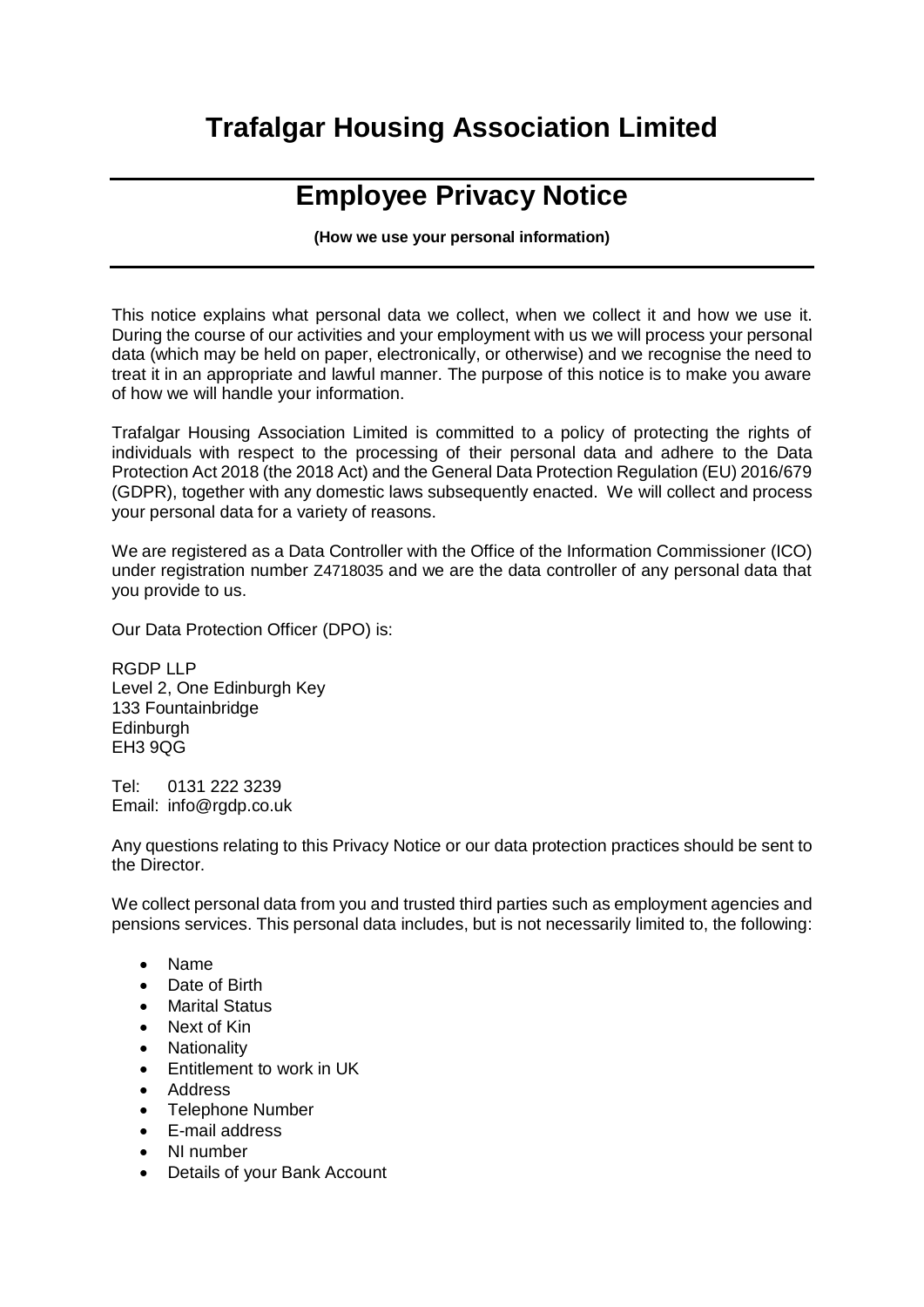## **Trafalgar Housing Association Limited**

## **Employee Privacy Notice**

**(How we use your personal information)**

This notice explains what personal data we collect, when we collect it and how we use it. During the course of our activities and your employment with us we will process your personal data (which may be held on paper, electronically, or otherwise) and we recognise the need to treat it in an appropriate and lawful manner. The purpose of this notice is to make you aware of how we will handle your information.

Trafalgar Housing Association Limited is committed to a policy of protecting the rights of individuals with respect to the processing of their personal data and adhere to the Data Protection Act 2018 (the 2018 Act) and the General Data Protection Regulation (EU) 2016/679 (GDPR), together with any domestic laws subsequently enacted. We will collect and process your personal data for a variety of reasons.

We are registered as a Data Controller with the Office of the Information Commissioner (ICO) under registration number Z4718035 and we are the data controller of any personal data that you provide to us.

Our Data Protection Officer (DPO) is:

RGDP LLP Level 2, One Edinburgh Key 133 Fountainbridge **Edinburgh** EH3 9QG

Tel: 0131 222 3239 Email: info@rgdp.co.uk

Any questions relating to this Privacy Notice or our data protection practices should be sent to the Director.

We collect personal data from you and trusted third parties such as employment agencies and pensions services. This personal data includes, but is not necessarily limited to, the following:

- Name
- Date of Birth
- Marital Status
- Next of Kin
- Nationality
- **•** Entitlement to work in UK
- Address
- Telephone Number
- E-mail address
- NI number
- Details of your Bank Account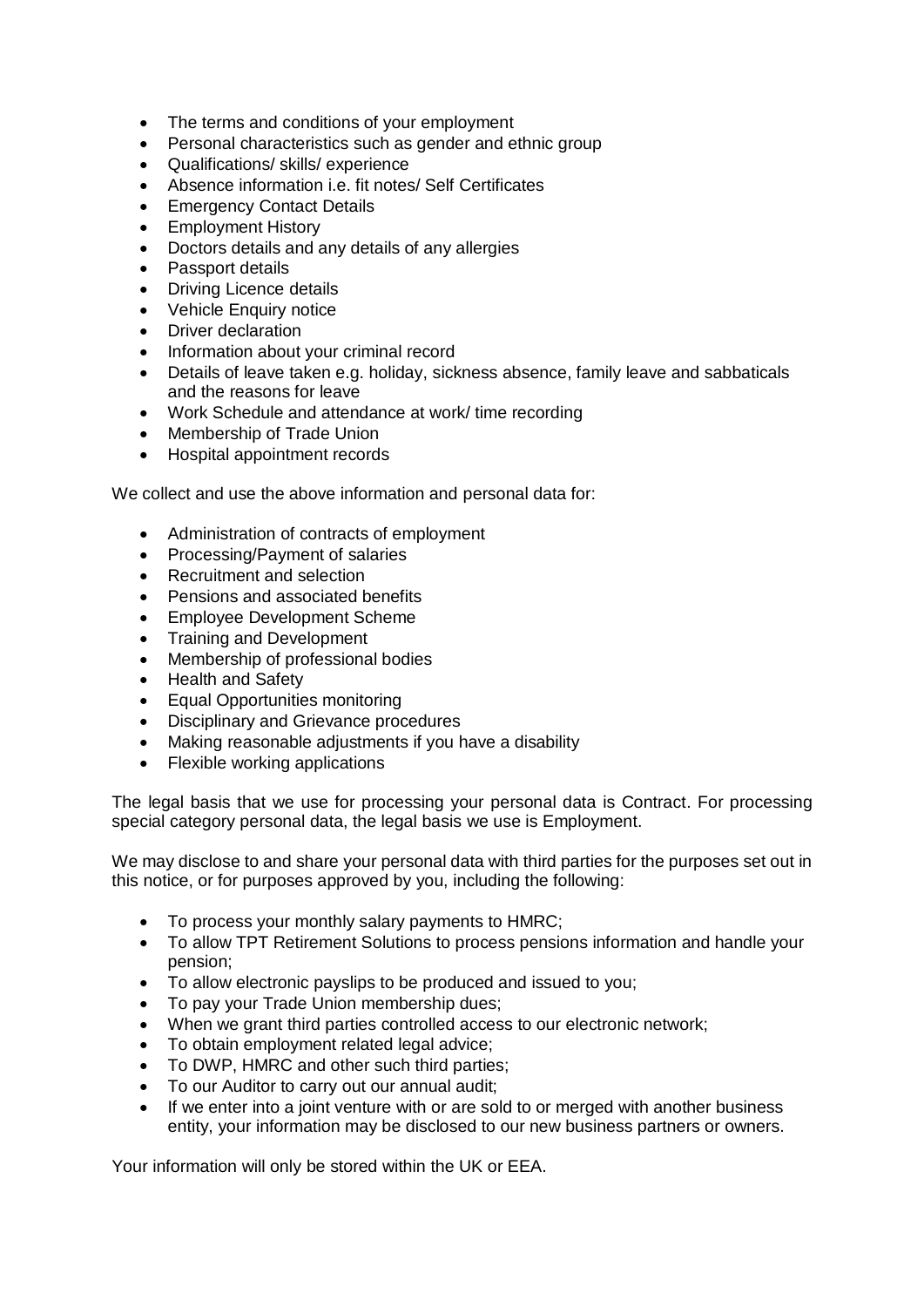- The terms and conditions of your employment
- Personal characteristics such as gender and ethnic group
- Qualifications/ skills/ experience
- Absence information i.e. fit notes/ Self Certificates
- Emergency Contact Details
- Employment History
- Doctors details and any details of any allergies
- Passport details
- Driving Licence details
- Vehicle Enquiry notice
- Driver declaration
- Information about your criminal record
- Details of leave taken e.g. holiday, sickness absence, family leave and sabbaticals and the reasons for leave
- Work Schedule and attendance at work/ time recording
- Membership of Trade Union
- Hospital appointment records

We collect and use the above information and personal data for:

- Administration of contracts of employment
- Processing/Payment of salaries
- Recruitment and selection
- Pensions and associated benefits
- Employee Development Scheme
- Training and Development
- Membership of professional bodies
- Health and Safety
- Equal Opportunities monitoring
- Disciplinary and Grievance procedures
- Making reasonable adjustments if you have a disability
- Flexible working applications

The legal basis that we use for processing your personal data is Contract. For processing special category personal data, the legal basis we use is Employment.

We may disclose to and share your personal data with third parties for the purposes set out in this notice, or for purposes approved by you, including the following:

- To process your monthly salary payments to HMRC;
- To allow TPT Retirement Solutions to process pensions information and handle your pension;
- To allow electronic payslips to be produced and issued to you;
- To pay your Trade Union membership dues;
- When we grant third parties controlled access to our electronic network;
- To obtain employment related legal advice;
- To DWP, HMRC and other such third parties;
- To our Auditor to carry out our annual audit;
- If we enter into a joint venture with or are sold to or merged with another business entity, your information may be disclosed to our new business partners or owners.

Your information will only be stored within the UK or EEA.